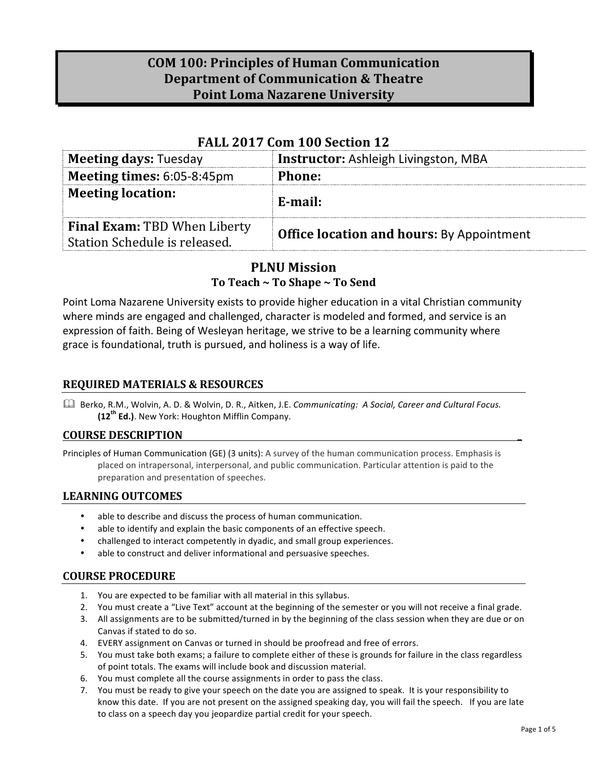# **COM 100: Principles of Human Communication Department of Communication & Theatre Point Loma Nazarene University**

# **FALL 2017 Com 100 Section 12**

| <b>Meeting days: Tuesday</b>                                         | <b>Instructor:</b> Ashleigh Livingston, MBA      |
|----------------------------------------------------------------------|--------------------------------------------------|
| Meeting times: 6:05-8:45pm                                           | <b>Phone:</b>                                    |
| <b>Meeting location:</b>                                             | E-mail:                                          |
| <b>Final Exam: TBD When Liberty</b><br>Station Schedule is released. | <b>Office location and hours: By Appointment</b> |

# **PLNU Mission** To Teach ~ To Shape ~ To Send

Point Loma Nazarene University exists to provide higher education in a vital Christian community where minds are engaged and challenged, character is modeled and formed, and service is an expression of faith. Being of Wesleyan heritage, we strive to be a learning community where grace is foundational, truth is pursued, and holiness is a way of life.

#### **REQUIRED MATERIALS & RESOURCES**

**4. Berko, R.M., Wolvin, A. D. & Wolvin, D. R., Aitken, J.E.** *Communicating: A Social, Career and Cultural Focus.* **(12th Ed.)**. New York: Houghton Mifflin Company.

#### **COURSE DESCRIPTION \_**

Principles of Human Communication (GE) (3 units): A survey of the human communication process. Emphasis is placed on intrapersonal, interpersonal, and public communication. Particular attention is paid to the preparation and presentation of speeches.

#### **LEARNING OUTCOMES**

- able to describe and discuss the process of human communication.
- able to identify and explain the basic components of an effective speech.
- challenged to interact competently in dyadic, and small group experiences.
- able to construct and deliver informational and persuasive speeches.

#### **COURSE PROCEDURE**

- 1. You are expected to be familiar with all material in this syllabus.
- 2. You must create a "Live Text" account at the beginning of the semester or you will not receive a final grade.
- 3. All assignments are to be submitted/turned in by the beginning of the class session when they are due or on Canvas if stated to do so.
- 4. EVERY assignment on Canvas or turned in should be proofread and free of errors.
- 5. You must take both exams; a failure to complete either of these is grounds for failure in the class regardless of point totals. The exams will include book and discussion material.
- 6. You must complete all the course assignments in order to pass the class.
- 7. You must be ready to give your speech on the date you are assigned to speak. It is your responsibility to know this date. If you are not present on the assigned speaking day, you will fail the speech. If you are late to class on a speech day you jeopardize partial credit for your speech.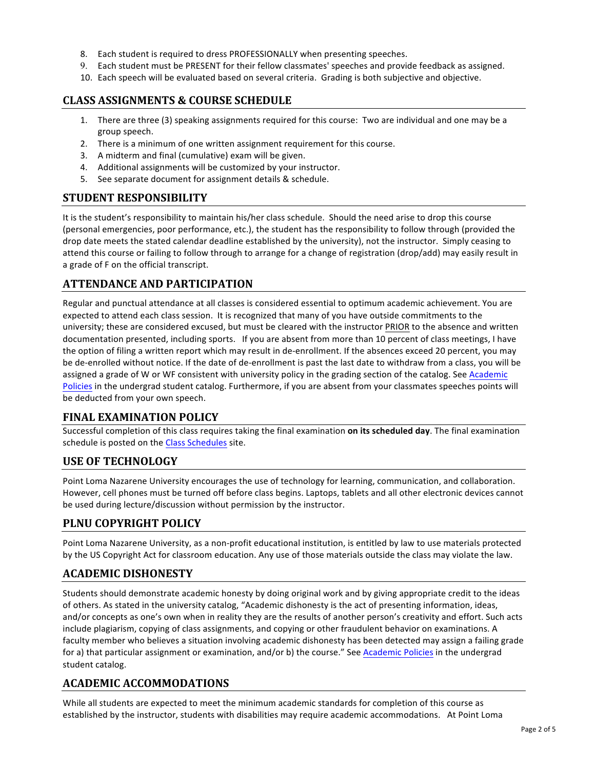- 8. Each student is required to dress PROFESSIONALLY when presenting speeches.
- 9. Each student must be PRESENT for their fellow classmates' speeches and provide feedback as assigned.
- 10. Each speech will be evaluated based on several criteria. Grading is both subjective and objective.

#### **CLASS ASSIGNMENTS & COURSE SCHEDULE**

- 1. There are three (3) speaking assignments required for this course: Two are individual and one may be a group speech.
- 2. There is a minimum of one written assignment requirement for this course.
- 3. A midterm and final (cumulative) exam will be given.
- 4. Additional assignments will be customized by your instructor.
- 5. See separate document for assignment details & schedule.

### **STUDENT RESPONSIBILITY**

It is the student's responsibility to maintain his/her class schedule. Should the need arise to drop this course (personal emergencies, poor performance, etc.), the student has the responsibility to follow through (provided the drop date meets the stated calendar deadline established by the university), not the instructor. Simply ceasing to attend this course or failing to follow through to arrange for a change of registration (drop/add) may easily result in a grade of F on the official transcript.

## **ATTENDANCE AND PARTICIPATION**

Regular and punctual attendance at all classes is considered essential to optimum academic achievement. You are expected to attend each class session. It is recognized that many of you have outside commitments to the university; these are considered excused, but must be cleared with the instructor PRIOR to the absence and written documentation presented, including sports. If you are absent from more than 10 percent of class meetings, I have the option of filing a written report which may result in de-enrollment. If the absences exceed 20 percent, you may be de-enrolled without notice. If the date of de-enrollment is past the last date to withdraw from a class, you will be assigned a grade of W or WF consistent with university policy in the grading section of the catalog. See Academic Policies in the undergrad student catalog. Furthermore, if you are absent from your classmates speeches points will be deducted from your own speech.

## **FINAL EXAMINATION POLICY**

Successful completion of this class requires taking the final examination on its scheduled day. The final examination schedule is posted on the Class Schedules site.

#### **USE OF TECHNOLOGY**

Point Loma Nazarene University encourages the use of technology for learning, communication, and collaboration. However, cell phones must be turned off before class begins. Laptops, tablets and all other electronic devices cannot be used during lecture/discussion without permission by the instructor.

## **PLNU COPYRIGHT POLICY**

Point Loma Nazarene University, as a non-profit educational institution, is entitled by law to use materials protected by the US Copyright Act for classroom education. Any use of those materials outside the class may violate the law.

## **ACADEMIC DISHONESTY**

Students should demonstrate academic honesty by doing original work and by giving appropriate credit to the ideas of others. As stated in the university catalog, "Academic dishonesty is the act of presenting information, ideas, and/or concepts as one's own when in reality they are the results of another person's creativity and effort. Such acts include plagiarism, copying of class assignments, and copying or other fraudulent behavior on examinations. A faculty member who believes a situation involving academic dishonesty has been detected may assign a failing grade for a) that particular assignment or examination, and/or b) the course." See Academic Policies in the undergrad student catalog.

## **ACADEMIC ACCOMMODATIONS**

While all students are expected to meet the minimum academic standards for completion of this course as established by the instructor, students with disabilities may require academic accommodations. At Point Loma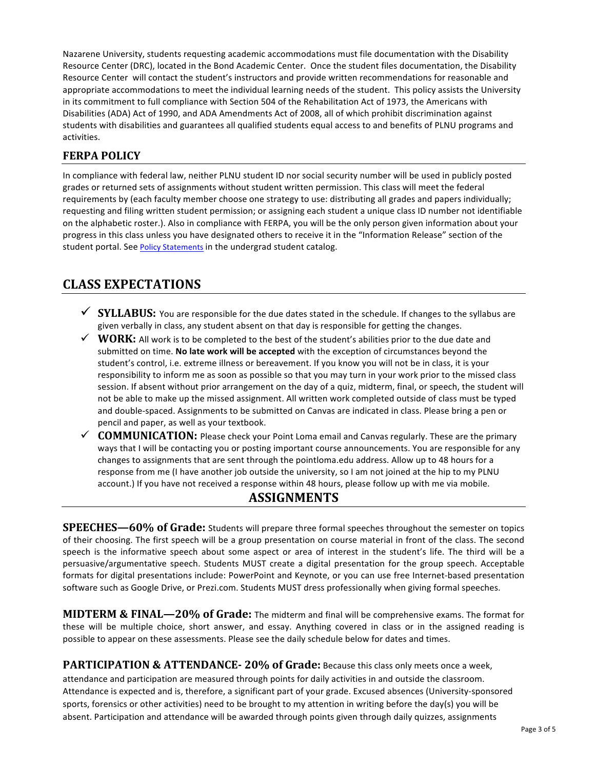Nazarene University, students requesting academic accommodations must file documentation with the Disability Resource Center (DRC), located in the Bond Academic Center. Once the student files documentation, the Disability Resource Center will contact the student's instructors and provide written recommendations for reasonable and appropriate accommodations to meet the individual learning needs of the student. This policy assists the University in its commitment to full compliance with Section 504 of the Rehabilitation Act of 1973, the Americans with Disabilities (ADA) Act of 1990, and ADA Amendments Act of 2008, all of which prohibit discrimination against students with disabilities and guarantees all qualified students equal access to and benefits of PLNU programs and activities.

# **FERPA POLICY**

In compliance with federal law, neither PLNU student ID nor social security number will be used in publicly posted grades or returned sets of assignments without student written permission. This class will meet the federal requirements by (each faculty member choose one strategy to use: distributing all grades and papers individually; requesting and filing written student permission; or assigning each student a unique class ID number not identifiable on the alphabetic roster.). Also in compliance with FERPA, you will be the only person given information about your progress in this class unless you have designated others to receive it in the "Information Release" section of the student portal. See Policy Statements in the undergrad student catalog.

# **CLASS EXPECTATIONS**

- $\checkmark$  **SYLLABUS:** You are responsible for the due dates stated in the schedule. If changes to the syllabus are given verbally in class, any student absent on that day is responsible for getting the changes.
- $\checkmark$  **WORK:** All work is to be completed to the best of the student's abilities prior to the due date and submitted on time. No late work will be accepted with the exception of circumstances beyond the student's control, i.e. extreme illness or bereavement. If you know you will not be in class, it is your responsibility to inform me as soon as possible so that you may turn in your work prior to the missed class session. If absent without prior arrangement on the day of a quiz, midterm, final, or speech, the student will not be able to make up the missed assignment. All written work completed outside of class must be typed and double-spaced. Assignments to be submitted on Canvas are indicated in class. Please bring a pen or pencil and paper, as well as your textbook.
- $\checkmark$  **COMMUNICATION:** Please check your Point Loma email and Canvas regularly. These are the primary ways that I will be contacting you or posting important course announcements. You are responsible for any changes to assignments that are sent through the pointloma.edu address. Allow up to 48 hours for a response from me (I have another job outside the university, so I am not joined at the hip to my PLNU account.) If you have not received a response within 48 hours, please follow up with me via mobile.

# **ASSIGNMENTS**

**SPEECHES—60% of Grade:** Students will prepare three formal speeches throughout the semester on topics of their choosing. The first speech will be a group presentation on course material in front of the class. The second speech is the informative speech about some aspect or area of interest in the student's life. The third will be a persuasive/argumentative speech. Students MUST create a digital presentation for the group speech. Acceptable formats for digital presentations include: PowerPoint and Keynote, or you can use free Internet-based presentation software such as Google Drive, or Prezi.com. Students MUST dress professionally when giving formal speeches.

MIDTERM & FINAL-20% of Grade: The midterm and final will be comprehensive exams. The format for these will be multiple choice, short answer, and essay. Anything covered in class or in the assigned reading is possible to appear on these assessments. Please see the daily schedule below for dates and times.

**PARTICIPATION & ATTENDANCE- 20% of Grade:** Because this class only meets once a week, attendance and participation are measured through points for daily activities in and outside the classroom. Attendance is expected and is, therefore, a significant part of your grade. Excused absences (University-sponsored sports, forensics or other activities) need to be brought to my attention in writing before the day(s) you will be absent. Participation and attendance will be awarded through points given through daily quizzes, assignments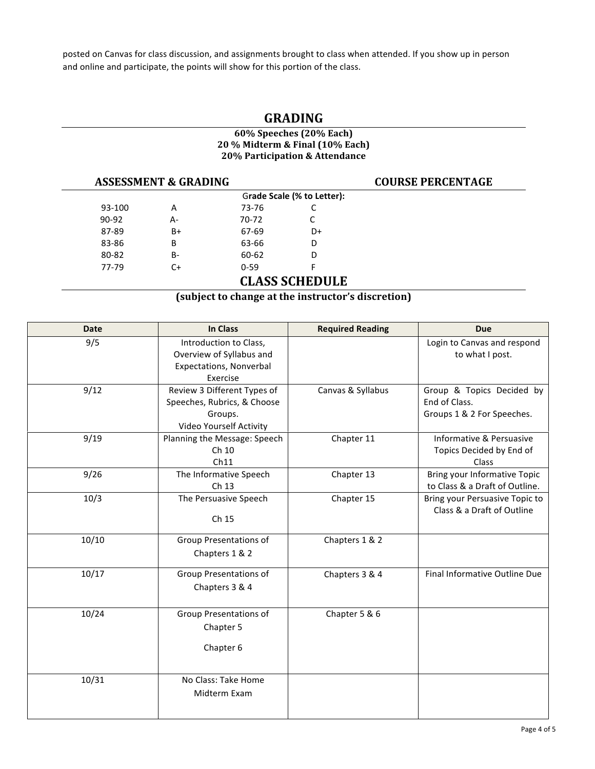posted on Canvas for class discussion, and assignments brought to class when attended. If you show up in person and online and participate, the points will show for this portion of the class.

# **GRADING**

#### **60% Speeches (20% Each) 20 % Midterm & Final (10% Each) 20% Participation & Attendance**

|                            | <b>ASSESSMENT &amp; GRADING</b> |          |                       | <b>COURSE PERCENTAGE</b> |  |
|----------------------------|---------------------------------|----------|-----------------------|--------------------------|--|
| Grade Scale (% to Letter): |                                 |          |                       |                          |  |
| 93-100                     | Α                               | 73-76    |                       |                          |  |
| 90-92                      | А-                              | 70-72    |                       |                          |  |
| 87-89                      | $B+$                            | 67-69    | D+                    |                          |  |
| 83-86                      | B                               | 63-66    | D                     |                          |  |
| 80-82                      | $B -$                           | 60-62    | D                     |                          |  |
| 77-79                      | C+                              | $0 - 59$ |                       |                          |  |
|                            |                                 |          | <b>CLASS SCHEDULE</b> |                          |  |

(subject to change at the instructor's discretion)

| Date  | <b>In Class</b>                            | <b>Required Reading</b> | <b>Due</b>                     |
|-------|--------------------------------------------|-------------------------|--------------------------------|
| 9/5   | Introduction to Class,                     |                         | Login to Canvas and respond    |
|       | Overview of Syllabus and                   |                         | to what I post.                |
|       | <b>Expectations, Nonverbal</b><br>Exercise |                         |                                |
| 9/12  | Review 3 Different Types of                | Canvas & Syllabus       | Group & Topics Decided by      |
|       | Speeches, Rubrics, & Choose                |                         | End of Class.                  |
|       | Groups.                                    |                         | Groups 1 & 2 For Speeches.     |
|       | Video Yourself Activity                    |                         |                                |
| 9/19  | Planning the Message: Speech               | Chapter 11              | Informative & Persuasive       |
|       | Ch 10                                      |                         | Topics Decided by End of       |
|       | Ch11                                       |                         | Class                          |
| 9/26  | The Informative Speech                     | Chapter 13              | Bring your Informative Topic   |
|       | Ch 13                                      |                         | to Class & a Draft of Outline. |
| 10/3  | The Persuasive Speech                      | Chapter 15              | Bring your Persuasive Topic to |
|       | Ch 15                                      |                         | Class & a Draft of Outline     |
|       |                                            |                         |                                |
| 10/10 | Group Presentations of                     | Chapters 1 & 2          |                                |
|       | Chapters 1 & 2                             |                         |                                |
|       |                                            |                         |                                |
| 10/17 | <b>Group Presentations of</b>              | Chapters 3 & 4          | Final Informative Outline Due  |
|       | Chapters 3 & 4                             |                         |                                |
|       |                                            |                         |                                |
| 10/24 | Group Presentations of                     | Chapter 5 & 6           |                                |
|       | Chapter 5                                  |                         |                                |
|       | Chapter 6                                  |                         |                                |
|       |                                            |                         |                                |
|       |                                            |                         |                                |
| 10/31 | No Class: Take Home                        |                         |                                |
|       | Midterm Exam                               |                         |                                |
|       |                                            |                         |                                |